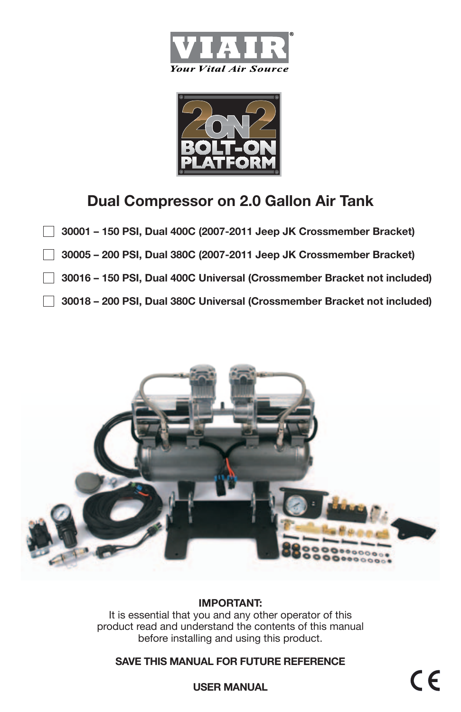



# **Dual Compressor on 2.0 Gallon Air Tank**

- **30001 150 PSI, Dual 400C (2007-2011 Jeep JK Crossmember Bracket)**  $\mathbf{1}$ 
	- **30005 200 PSI, Dual 380C (2007-2011 Jeep JK Crossmember Bracket)**
	- **30016 150 PSI, Dual 400C Universal (Crossmember Bracket not included)**
	- **30018 200 PSI, Dual 380C Universal (Crossmember Bracket not included)**



## **IMPORTANT:**

It is essential that you and any other operator of this product read and understand the contents of this manual before installing and using this product.

## **SAVE THIS MANUAL FOR FUTURE REFERENCE**

 $\epsilon$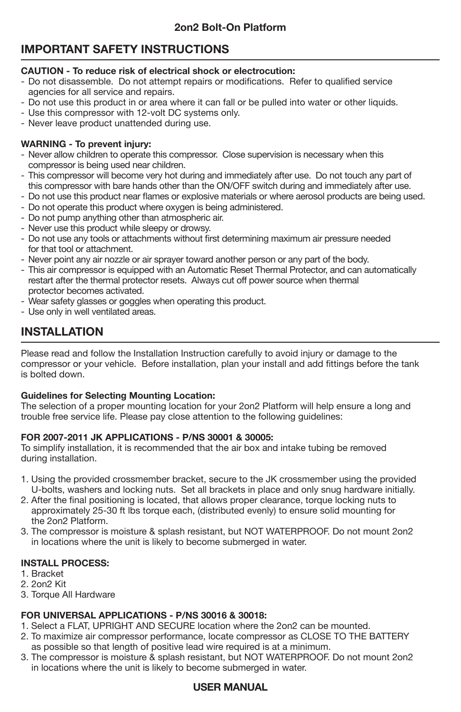# **IMPORTANT SAFETY INSTRUCTIONS**

#### **CAUTION - To reduce risk of electrical shock or electrocution:**

- Do not disassemble. Do not attempt repairs or modifications. Refer to qualified service agencies for all service and repairs.
- Do not use this product in or area where it can fall or be pulled into water or other liquids.
- Use this compressor with 12-volt DC systems only.
- Never leave product unattended during use.

#### **WARNING - To prevent injury:**

- Never allow children to operate this compressor. Close supervision is necessary when this compressor is being used near children.
- This compressor will become very hot during and immediately after use. Do not touch any part of this compressor with bare hands other than the ON/OFF switch during and immediately after use.
- Do not use this product near flames or explosive materials or where aerosol products are being used.
- Do not operate this product where oxygen is being administered.
- Do not pump anything other than atmospheric air.
- Never use this product while sleepy or drowsy.
- Do not use any tools or attachments without first determining maximum air pressure needed for that tool or attachment.
- Never point any air nozzle or air sprayer toward another person or any part of the body.
- This air compressor is equipped with an Automatic Reset Thermal Protector, and can automatically restart after the thermal protector resets. Always cut off power source when thermal protector becomes activated.
- Wear safety glasses or goggles when operating this product.
- Use only in well ventilated areas.

# **INSTALLATION**

Please read and follow the Installation Instruction carefully to avoid injury or damage to the compressor or your vehicle. Before installation, plan your install and add fittings before the tank is bolted down.

#### **Guidelines for Selecting Mounting Location:**

The selection of a proper mounting location for your 2on2 Platform will help ensure a long and trouble free service life. Please pay close attention to the following guidelines:

#### **For 2007-2011 JK Applications - P/Ns 30001 & 30005:**

To simplify installation, it is recommended that the air box and intake tubing be removed during installation.

- 1. Using the provided crossmember bracket, secure to the JK crossmember using the provided U-bolts, washers and locking nuts. Set all brackets in place and only snug hardware initially.
- 2. After the final positioning is located, that allows proper clearance, torque locking nuts to approximately 25-30 ft lbs torque each, (distributed evenly) to ensure solid mounting for the 2on2 Platform.
- 3. The compressor is moisture & splash resistant, but NOT WATERPROOF. Do not mount 2on2 in locations where the unit is likely to become submerged in water.

#### **install process:**

- 1. Bracket
- 2. 2on2 Kit
- 3. Torque All Hardware

#### **For Universal Applications - P/Ns 30016 & 30018:**

- 1. Select a FLAT, UPRIGHT AND SECURE location where the 2on2 can be mounted.
- 2. To maximize air compressor performance, locate compressor as CLOSE TO THE BATTERY as possible so that length of positive lead wire required is at a minimum.
- 3. The compressor is moisture & splash resistant, but NOT WATERPROOF. Do not mount 2on2 in locations where the unit is likely to become submerged in water.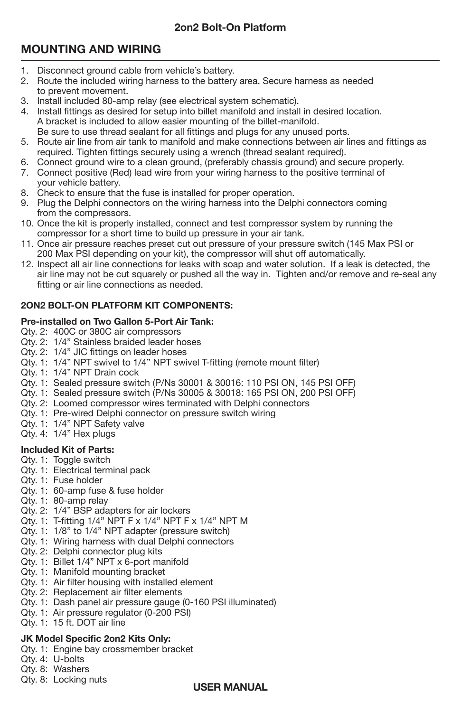# **2on2 Bolt-On Platform**

# **MOUNTING AND WIRING**

- 1. Disconnect ground cable from vehicle's battery.
- 2. Route the included wiring harness to the battery area. Secure harness as needed to prevent movement.
- 3. Install included 80-amp relay (see electrical system schematic).
- 4. Install fittings as desired for setup into billet manifold and install in desired location. A bracket is included to allow easier mounting of the billet-manifold. Be sure to use thread sealant for all fittings and plugs for any unused ports.
- 5. Route air line from air tank to manifold and make connections between air lines and fittings as required. Tighten fittings securely using a wrench (thread sealant required).
- 6. Connect ground wire to a clean ground, (preferably chassis ground) and secure properly.
- 7. Connect positive (Red) lead wire from your wiring harness to the positive terminal of your vehicle battery.
- 8. Check to ensure that the fuse is installed for proper operation.
- 9. Plug the Delphi connectors on the wiring harness into the Delphi connectors coming from the compressors.
- 10. Once the kit is properly installed, connect and test compressor system by running the compressor for a short time to build up pressure in your air tank.
- 11. Once air pressure reaches preset cut out pressure of your pressure switch (145 Max PSI or 200 Max PSI depending on your kit), the compressor will shut off automatically.
- 12. Inspect all air line connections for leaks with soap and water solution. If a leak is detected, the air line may not be cut squarely or pushed all the way in. Tighten and/or remove and re-seal any fitting or air line connections as needed.

# **2On2 Bolt-On Platform Kit Components:**

## **Pre-installed on Two Gallon 5-Port Air Tank:**

- Qty. 2: 400C or 380C air compressors
- Qty. 2: 1/4" Stainless braided leader hoses
- Qty. 2: 1/4" JIC fittings on leader hoses
- Qty. 1: 1/4" NPT swivel to 1/4" NPT swivel T-fitting (remote mount filter)
- Qty. 1: 1/4" NPT Drain cock
- Qty. 1: Sealed pressure switch (P/Ns 30001 & 30016: 110 PSI ON, 145 PSI OFF)
- Qty. 1: Sealed pressure switch (P/Ns 30005 & 30018: 165 PSI ON, 200 PSI OFF)
- Qty. 2: Loomed compressor wires terminated with Delphi connectors
- Qty. 1: Pre-wired Delphi connector on pressure switch wiring
- Qty. 1: 1/4" NPT Safety valve
- Qty. 4: 1/4" Hex plugs

# **Included Kit of Parts:**

- Qty. 1: Toggle switch
- Qty. 1: Electrical terminal pack
- Qty. 1: Fuse holder
- Qty. 1: 60-amp fuse & fuse holder
- Qty. 1: 80-amp relay
- Qty. 2: 1/4" BSP adapters for air lockers
- Qty. 1: T-fitting 1/4" NPT F x 1/4" NPT F x 1/4" NPT M
- Qty. 1: 1/8" to 1/4" NPT adapter (pressure switch)
- Qty. 1: Wiring harness with dual Delphi connectors
- Qty. 2: Delphi connector plug kits
- Qty. 1: Billet 1/4" NPT x 6-port manifold
- Qty. 1: Manifold mounting bracket
- Qty. 1: Air filter housing with installed element
- Qty. 2: Replacement air filter elements
- Qty. 1: Dash panel air pressure gauge (0-160 PSI illuminated)
- Qty. 1: Air pressure regulator (0-200 PSI)
- Qty. 1: 15 ft. DOT air line

# **JK Model Specific 2on2 Kits Only:**

- Qty. 1: Engine bay crossmember bracket
- Qty. 4: U-bolts
- Qty. 8: Washers
- Qty. 8: Locking nuts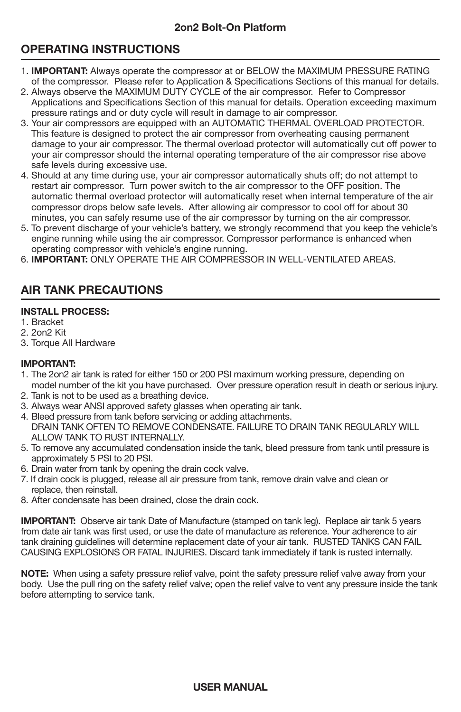# **OPERATING INSTRUCTIONS**

- i 1. **IMPORTANT:** Always operate the compressor at or BELOW the MAXIMUM PRESSURE RATING of the compressor. Please refer to Application & Specifications Sections of this manual for details.
- 2. Always observe the MAXIMUM DUTY CYCLE of the air compressor. Refer to Compressor Applications and Specifications Section of this manual for details. Operation exceeding maximum pressure ratings and or duty cycle will result in damage to air compressor.
- 3. Your air compressors are equipped with an AUTOMATIC THERMAL OVERLOAD PROTECTOR. This feature is designed to protect the air compressor from overheating causing permanent damage to your air compressor. The thermal overload protector will automatically cut off power to your air compressor should the internal operating temperature of the air compressor rise above safe levels during excessive use.
- 4. Should at any time during use, your air compressor automatically shuts off; do not attempt to restart air compressor. Turn power switch to the air compressor to the OFF position. The automatic thermal overload protector will automatically reset when internal temperature of the air compressor drops below safe levels. After allowing air compressor to cool off for about 30 minutes, you can safely resume use of the air compressor by turning on the air compressor.
- 5. To prevent discharge of your vehicle's battery, we strongly recommend that you keep the vehicle's engine running while using the air compressor. Compressor performance is enhanced when operating compressor with vehicle's engine running.
- 6. **IMPORTANT:** ONLY OPERATE THE AIR COMPRESSOR IN WELL-VENTILATED AREAS.

# **AIR TANK PRECAUTIONS**

#### **install process:**

- 1. Bracket
- 2. 2on2 Kit
- 3. Torque All Hardware

#### **IMPORTANT:**

- 1. The 2on2 air tank is rated for either 150 or 200 PSI maximum working pressure, depending on model number of the kit you have purchased. Over pressure operation result in death or serious injury.
- 2. Tank is not to be used as a breathing device.
- 3. Always wear ANSI approved safety glasses when operating air tank.
- 4. Bleed pressure from tank before servicing or adding attachments. DRAIN TANK OFTEN TO REMOVE CONDENSATE. FAILURE TO DRAIN TANK REGULARLY WILL ALLOW TANK TO RUST INTERNALLY.
- 5. To remove any accumulated condensation inside the tank, bleed pressure from tank until pressure is approximately 5 PSI to 20 PSI.
- 6. Drain water from tank by opening the drain cock valve.
- 7. If drain cock is plugged, release all air pressure from tank, remove drain valve and clean or replace, then reinstall.
- 8. After condensate has been drained, close the drain cock.

**IMPORTANT:** Observe air tank Date of Manufacture (stamped on tank leg). Replace air tank 5 years from date air tank was first used, or use the date of manufacture as reference. Your adherence to air tank draining guidelines will determine replacement date of your air tank. RUSTED TANKS CAN FAIL CAUSING EXPLOSIONS OR FATAL INJURIES. Discard tank immediately if tank is rusted internally.

**NOTE:** When using a safety pressure relief valve, point the safety pressure relief valve away from your body. Use the pull ring on the safety relief valve; open the relief valve to vent any pressure inside the tank before attempting to service tank.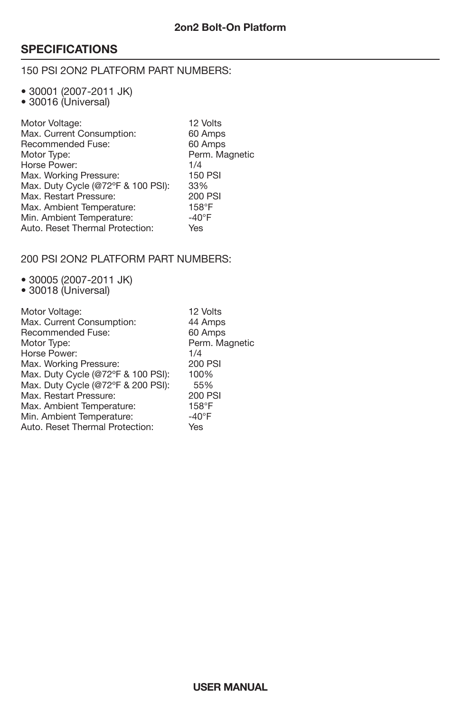# **SPECIFICATIONS**

### 150 PSI 2on2 Platform part numbers:

• 30001 (2007-2011 JK)

• 30016 (Universal)

| 60 Amps<br>60 Amps |
|--------------------|
|                    |
|                    |
| Perm. Magnetic     |
| 1/4                |
| <b>150 PSI</b>     |
| 33%                |
| 200 PSI            |
| $158^\circ F$      |
| $-40^{\circ}$ F    |
| Yes                |
|                    |

### 200 PSI 2On2 Platform Part Numbers:

- 30005 (2007-2011 JK)
- 30018 (Universal)

| Motor Voltage:                     | 12 Volts        |
|------------------------------------|-----------------|
| Max. Current Consumption:          | 44 Amps         |
| Recommended Fuse:                  | 60 Amps         |
| Motor Type:                        | Perm. Magnetic  |
| Horse Power:                       | 1/4             |
| Max. Working Pressure:             | 200 PSI         |
| Max. Duty Cycle (@72°F & 100 PSI): | 100%            |
| Max. Duty Cycle (@72°F & 200 PSI): | 55%             |
| Max. Restart Pressure:             | 200 PSI         |
| Max. Ambient Temperature:          | $158^\circ F$   |
| Min. Ambient Temperature:          | $-40^{\circ}$ F |
| Auto. Reset Thermal Protection:    | Yes             |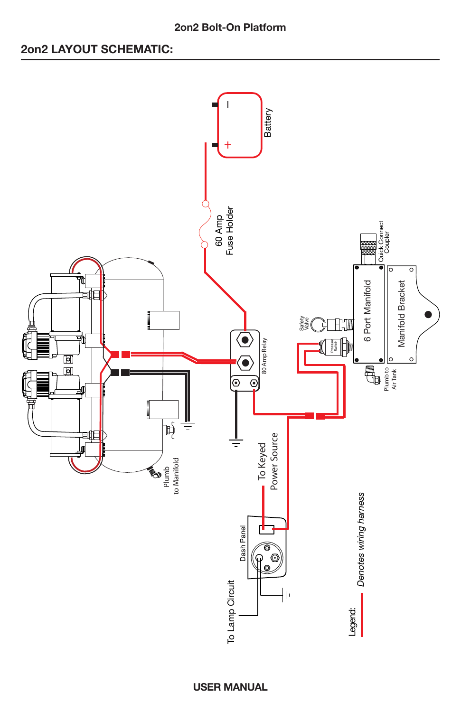### **2on2 Bolt-On Platform**

# **2on2 LAYOUT SCHEMATIC:**

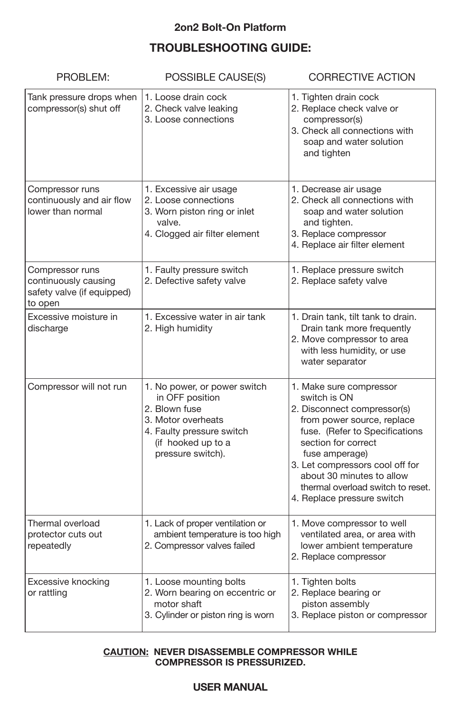# **2on2 Bolt-On Platform**

# **Troubleshooting Guide:**

| PROBLEM:                                                                         | POSSIBLE CAUSE(S)                                                                                                                                              | <b>CORRECTIVE ACTION</b>                                                                                                                                                                                                                                                                                           |
|----------------------------------------------------------------------------------|----------------------------------------------------------------------------------------------------------------------------------------------------------------|--------------------------------------------------------------------------------------------------------------------------------------------------------------------------------------------------------------------------------------------------------------------------------------------------------------------|
| Tank pressure drops when<br>compressor(s) shut off                               | 1. Loose drain cock<br>2. Check valve leaking<br>3. Loose connections                                                                                          | 1. Tighten drain cock<br>2. Replace check valve or<br>compressor(s)<br>3. Check all connections with<br>soap and water solution<br>and tighten                                                                                                                                                                     |
| Compressor runs<br>continuously and air flow<br>lower than normal                | 1. Excessive air usage<br>2. Loose connections<br>3. Worn piston ring or inlet<br>valve.<br>4. Clogged air filter element                                      | 1. Decrease air usage<br>2. Check all connections with<br>soap and water solution<br>and tighten.<br>3. Replace compressor<br>4. Replace air filter element                                                                                                                                                        |
| Compressor runs<br>continuously causing<br>safety valve (if equipped)<br>to open | 1. Faulty pressure switch<br>2. Defective safety valve                                                                                                         | 1. Replace pressure switch<br>2. Replace safety valve                                                                                                                                                                                                                                                              |
| Excessive moisture in<br>discharge                                               | 1. Excessive water in air tank<br>2. High humidity                                                                                                             | 1. Drain tank, tilt tank to drain.<br>Drain tank more frequently<br>2. Move compressor to area<br>with less humidity, or use<br>water separator                                                                                                                                                                    |
| Compressor will not run                                                          | 1. No power, or power switch<br>in OFF position<br>2. Blown fuse<br>3. Motor overheats<br>4. Faulty pressure switch<br>(if hooked up to a<br>pressure switch). | 1. Make sure compressor<br>switch is ON<br>2. Disconnect compressor(s)<br>from power source, replace<br>fuse. (Refer to Specifications<br>section for correct<br>fuse amperage)<br>3. Let compressors cool off for<br>about 30 minutes to allow<br>thermal overload switch to reset.<br>4. Replace pressure switch |
| Thermal overload<br>protector cuts out<br>repeatedly                             | 1. Lack of proper ventilation or<br>ambient temperature is too high<br>2. Compressor valves failed                                                             | 1. Move compressor to well<br>ventilated area, or area with<br>lower ambient temperature<br>2. Replace compressor                                                                                                                                                                                                  |
| Excessive knocking<br>or rattling                                                | 1. Loose mounting bolts<br>2. Worn bearing on eccentric or<br>motor shaft<br>3. Cylinder or piston ring is worn                                                | 1. Tighten bolts<br>2. Replace bearing or<br>piston assembly<br>3. Replace piston or compressor                                                                                                                                                                                                                    |

#### **CAUTION: NEVER DISASSEMBLE COMPRESSOR WHILE COMPRESSOR IS PRESSURIZED.**